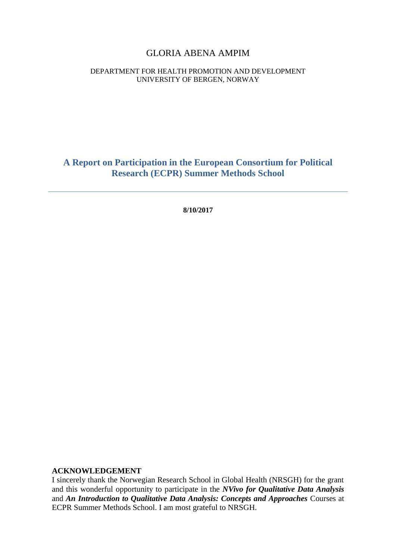#### GLORIA ABENA AMPIM

#### DEPARTMENT FOR HEALTH PROMOTION AND DEVELOPMENT UNIVERSITY OF BERGEN, NORWAY

**A Report on Participation in the European Consortium for Political Research (ECPR) Summer Methods School**

**8/10/2017**

#### **ACKNOWLEDGEMENT**

I sincerely thank the Norwegian Research School in Global Health (NRSGH) for the grant and this wonderful opportunity to participate in the *NVivo for Qualitative Data Analysis* and *An Introduction to Qualitative Data Analysis: Concepts and Approaches* Courses at ECPR Summer Methods School. I am most grateful to NRSGH.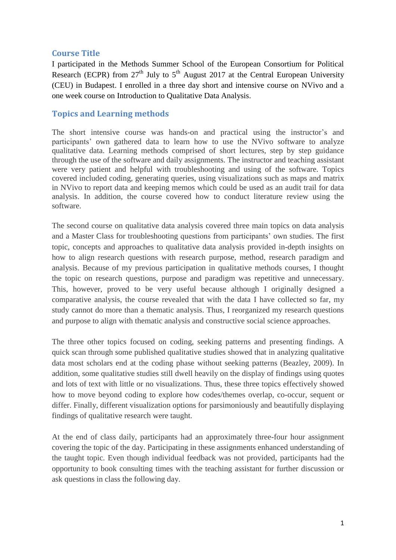## **Course Title**

I participated in the Methods Summer School of the European Consortium for Political Research (ECPR) from  $27<sup>th</sup>$  July to  $5<sup>th</sup>$  August 2017 at the Central European University (CEU) in Budapest. I enrolled in a three day short and intensive course on NVivo and a one week course on Introduction to Qualitative Data Analysis.

## **Topics and Learning methods**

The short intensive course was hands-on and practical using the instructor's and participants' own gathered data to learn how to use the NVivo software to analyze qualitative data. Learning methods comprised of short lectures, step by step guidance through the use of the software and daily assignments. The instructor and teaching assistant were very patient and helpful with troubleshooting and using of the software. Topics covered included coding, generating queries, using visualizations such as maps and matrix in NVivo to report data and keeping memos which could be used as an audit trail for data analysis. In addition, the course covered how to conduct literature review using the software.

The second course on qualitative data analysis covered three main topics on data analysis and a Master Class for troubleshooting questions from participants' own studies. The first topic, concepts and approaches to qualitative data analysis provided in-depth insights on how to align research questions with research purpose, method, research paradigm and analysis. Because of my previous participation in qualitative methods courses, I thought the topic on research questions, purpose and paradigm was repetitive and unnecessary. This, however, proved to be very useful because although I originally designed a comparative analysis, the course revealed that with the data I have collected so far, my study cannot do more than a thematic analysis. Thus, I reorganized my research questions and purpose to align with thematic analysis and constructive social science approaches.

The three other topics focused on coding, seeking patterns and presenting findings. A quick scan through some published qualitative studies showed that in analyzing qualitative data most scholars end at the coding phase without seeking patterns (Beazley, 2009). In addition, some qualitative studies still dwell heavily on the display of findings using quotes and lots of text with little or no visualizations. Thus, these three topics effectively showed how to move beyond coding to explore how codes/themes overlap, co-occur, sequent or differ. Finally, different visualization options for parsimoniously and beautifully displaying findings of qualitative research were taught.

At the end of class daily, participants had an approximately three-four hour assignment covering the topic of the day. Participating in these assignments enhanced understanding of the taught topic. Even though individual feedback was not provided, participants had the opportunity to book consulting times with the teaching assistant for further discussion or ask questions in class the following day.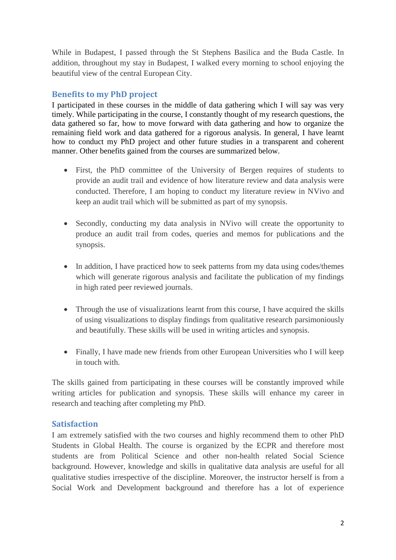While in Budapest, I passed through the St Stephens Basilica and the Buda Castle. In addition, throughout my stay in Budapest, I walked every morning to school enjoying the beautiful view of the central European City.

## **Benefits to my PhD project**

I participated in these courses in the middle of data gathering which I will say was very timely. While participating in the course, I constantly thought of my research questions, the data gathered so far, how to move forward with data gathering and how to organize the remaining field work and data gathered for a rigorous analysis. In general, I have learnt how to conduct my PhD project and other future studies in a transparent and coherent manner. Other benefits gained from the courses are summarized below.

- First, the PhD committee of the University of Bergen requires of students to provide an audit trail and evidence of how literature review and data analysis were conducted. Therefore, I am hoping to conduct my literature review in NVivo and keep an audit trail which will be submitted as part of my synopsis.
- Secondly, conducting my data analysis in NVivo will create the opportunity to produce an audit trail from codes, queries and memos for publications and the synopsis.
- In addition, I have practiced how to seek patterns from my data using codes/themes which will generate rigorous analysis and facilitate the publication of my findings in high rated peer reviewed journals.
- Through the use of visualizations learnt from this course, I have acquired the skills of using visualizations to display findings from qualitative research parsimoniously and beautifully. These skills will be used in writing articles and synopsis.
- Finally, I have made new friends from other European Universities who I will keep in touch with.

The skills gained from participating in these courses will be constantly improved while writing articles for publication and synopsis. These skills will enhance my career in research and teaching after completing my PhD.

# **Satisfaction**

I am extremely satisfied with the two courses and highly recommend them to other PhD Students in Global Health. The course is organized by the ECPR and therefore most students are from Political Science and other non-health related Social Science background. However, knowledge and skills in qualitative data analysis are useful for all qualitative studies irrespective of the discipline. Moreover, the instructor herself is from a Social Work and Development background and therefore has a lot of experience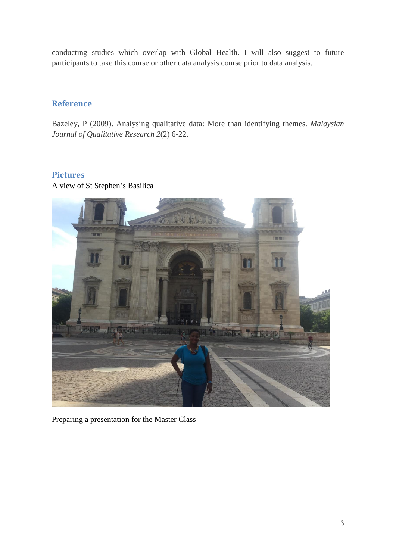conducting studies which overlap with Global Health. I will also suggest to future participants to take this course or other data analysis course prior to data analysis.

## **Reference**

Bazeley, P (2009). Analysing qualitative data: More than identifying themes. *Malaysian Journal of Qualitative Research 2*(2) 6-22.

## **Pictures**

A view of St Stephen's Basilica



Preparing a presentation for the Master Class